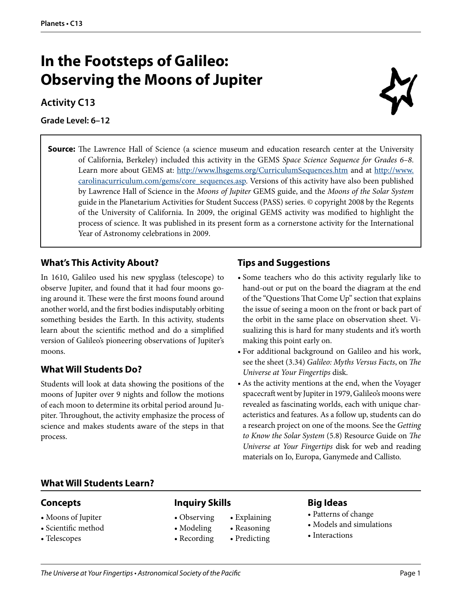## **In the Footsteps of Galileo: Observing the Moons of Jupiter**

### **Activity C13**

**Grade Level: 6–12**



**Source:** The Lawrence Hall of Science (a science museum and education research center at the University of California, Berkeley) included this activity in the GEMS *Space Science Sequence for Grades 6–8*. Learn more about GEMS at: <http://www.lhsgems.org/CurriculumSequences.htm> and at [http://www.](http://www.carolinacurriculum.com/gems/core_sequences.asp) [carolinacurriculum.com/gems/core\\_sequences.asp](http://www.carolinacurriculum.com/gems/core_sequences.asp). Versions of this activity have also been published by Lawrence Hall of Science in the *Moons of Jupiter* GEMS guide, and the *Moons of the Solar System*  guide in the Planetarium Activities for Student Success (PASS) series. © copyright 2008 by the Regents of the University of California. In 2009, the original GEMS activity was modified to highlight the process of science. It was published in its present form as a cornerstone activity for the International Year of Astronomy celebrations in 2009.

### **What's This Activity About?**

In 1610, Galileo used his new spyglass (telescope) to observe Jupiter, and found that it had four moons going around it. These were the first moons found around another world, and the first bodies indisputably orbiting something besides the Earth. In this activity, students learn about the scientific method and do a simplified version of Galileo's pioneering observations of Jupiter's moons.

### **What Will Students Do?**

Students will look at data showing the positions of the moons of Jupiter over 9 nights and follow the motions of each moon to determine its orbital period around Jupiter. Throughout, the activity emphasize the process of science and makes students aware of the steps in that process.

### **Tips and Suggestions**

- Some teachers who do this activity regularly like to hand-out or put on the board the diagram at the end of the "Questions That Come Up" section that explains the issue of seeing a moon on the front or back part of the orbit in the same place on observation sheet. Visualizing this is hard for many students and it's worth making this point early on.
- For additional background on Galileo and his work, see the sheet (3.34) *Galileo: Myths Versus Facts*, on *The Universe at Your Fingertips* disk.
- As the activity mentions at the end, when the Voyager spacecraft went by Jupiter in 1979, Galileo's moons were revealed as fascinating worlds, each with unique characteristics and features. As a follow up, students can do a research project on one of the moons. See the *Getting to Know the Solar System* (5.8) Resource Guide on *The Universe at Your Fingertips* disk for web and reading materials on Io, Europa, Ganymede and Callisto.

### **What Will Students Learn?**

### **Concepts**

- Moons of Jupiter
- Scientific method
- Telescopes

### **Inquiry Skills**

- Observing Explaining
- Modeling Reasoning
- Recording Predicting
- 
- 

### **Big Ideas**

- Patterns of change
- Models and simulations
- Interactions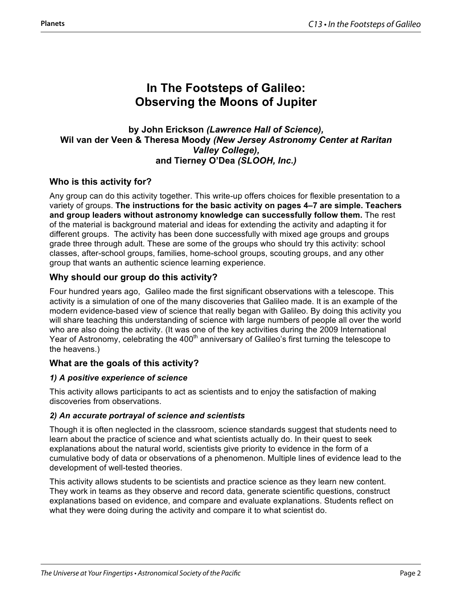### **In The Footsteps of Galileo: Observing the Moons of Jupiter**

### **by John Erickson** *(Lawrence Hall of Science),*  **Wil van der Veen & Theresa Moody** *(New Jersey Astronomy Center at Raritan Valley College),*  **and Tierney O'Dea** *(SLOOH, Inc.)*

### **Who is this activity for?**

Any group can do this activity together. This write-up offers choices for flexible presentation to a variety of groups. **The instructions for the basic activity on pages 4–7 are simple. Teachers and group leaders without astronomy knowledge can successfully follow them.** The rest of the material is background material and ideas for extending the activity and adapting it for different groups. The activity has been done successfully with mixed age groups and groups grade three through adult. These are some of the groups who should try this activity: school classes, after-school groups, families, home-school groups, scouting groups, and any other group that wants an authentic science learning experience.

### **Why should our group do this activity?**

Four hundred years ago, Galileo made the first significant observations with a telescope. This activity is a simulation of one of the many discoveries that Galileo made. It is an example of the modern evidence-based view of science that really began with Galileo. By doing this activity you will share teaching this understanding of science with large numbers of people all over the world who are also doing the activity. (It was one of the key activities during the 2009 International Year of Astronomy, celebrating the 400<sup>th</sup> anniversary of Galileo's first turning the telescope to the heavens.)

### **What are the goals of this activity?**

### *1) A positive experience of science*

This activity allows participants to act as scientists and to enjoy the satisfaction of making discoveries from observations.

#### *2) An accurate portrayal of science and scientists*

Though it is often neglected in the classroom, science standards suggest that students need to learn about the practice of science and what scientists actually do. In their quest to seek explanations about the natural world, scientists give priority to evidence in the form of a cumulative body of data or observations of a phenomenon. Multiple lines of evidence lead to the development of well-tested theories.

This activity allows students to be scientists and practice science as they learn new content. They work in teams as they observe and record data, generate scientific questions, construct explanations based on evidence, and compare and evaluate explanations. Students reflect on what they were doing during the activity and compare it to what scientist do.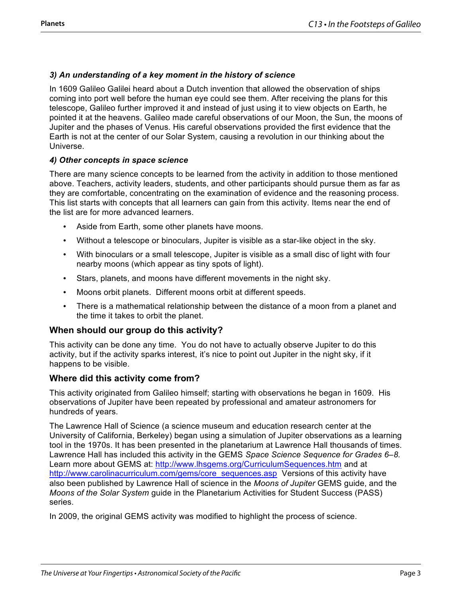### *3) An understanding of a key moment in the history of science*

In 1609 Galileo Galilei heard about a Dutch invention that allowed the observation of ships coming into port well before the human eye could see them. After receiving the plans for this telescope, Galileo further improved it and instead of just using it to view objects on Earth, he pointed it at the heavens. Galileo made careful observations of our Moon, the Sun, the moons of Jupiter and the phases of Venus. His careful observations provided the first evidence that the Earth is not at the center of our Solar System, causing a revolution in our thinking about the Universe.

#### *4) Other concepts in space science*

There are many science concepts to be learned from the activity in addition to those mentioned above. Teachers, activity leaders, students, and other participants should pursue them as far as they are comfortable, concentrating on the examination of evidence and the reasoning process. This list starts with concepts that all learners can gain from this activity. Items near the end of the list are for more advanced learners.

- Aside from Earth, some other planets have moons.
- Without a telescope or binoculars, Jupiter is visible as a star-like object in the sky.
- With binoculars or a small telescope, Jupiter is visible as a small disc of light with four nearby moons (which appear as tiny spots of light).
- Stars, planets, and moons have different movements in the night sky.
- Moons orbit planets. Different moons orbit at different speeds.
- There is a mathematical relationship between the distance of a moon from a planet and the time it takes to orbit the planet.

### **When should our group do this activity?**

This activity can be done any time. You do not have to actually observe Jupiter to do this activity, but if the activity sparks interest, it's nice to point out Jupiter in the night sky, if it happens to be visible.

### **Where did this activity come from?**

This activity originated from Galileo himself; starting with observations he began in 1609. His observations of Jupiter have been repeated by professional and amateur astronomers for hundreds of years.

The Lawrence Hall of Science (a science museum and education research center at the University of California, Berkeley) began using a simulation of Jupiter observations as a learning tool in the 1970s. It has been presented in the planetarium at Lawrence Hall thousands of times. Lawrence Hall has included this activity in the GEMS *Space Science Sequence for Grades 6–8.* Learn more about GEMS at: http://www.lhsgems.org/CurriculumSequences.htm and at http://www.carolinacurriculum.com/gems/core\_sequences.asp Versions of this activity have also been published by Lawrence Hall of science in the *Moons of Jupiter* GEMS guide, and the *Moons of the Solar System* guide in the Planetarium Activities for Student Success (PASS) series.

In 2009, the original GEMS activity was modified to highlight the process of science.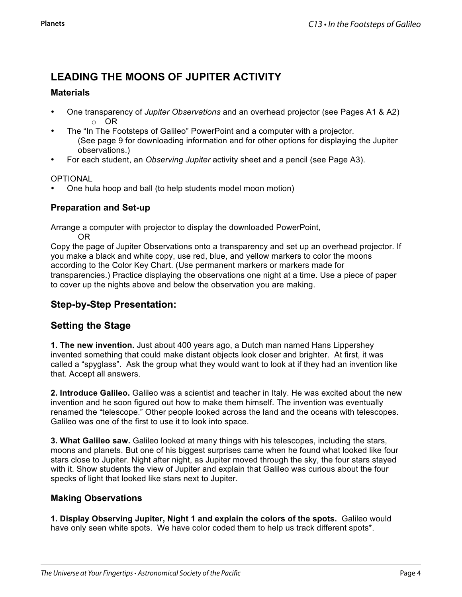### **LEADING THE MOONS OF JUPITER ACTIVITY**

### **Materials**

- One transparency of *Jupiter Observations* and an overhead projector (see Pages A1 & A2) o OR
- The "In The Footsteps of Galileo" PowerPoint and a computer with a projector. (See page 9 for downloading information and for other options for displaying the Jupiter observations.)
- For each student, an *Observing Jupiter* activity sheet and a pencil (see Page A3).

### OPTIONAL

• One hula hoop and ball (to help students model moon motion)

### **Preparation and Set-up**

Arrange a computer with projector to display the downloaded PowerPoint, OR

Copy the page of Jupiter Observations onto a transparency and set up an overhead projector. If you make a black and white copy, use red, blue, and yellow markers to color the moons according to the Color Key Chart. (Use permanent markers or markers made for transparencies.) Practice displaying the observations one night at a time. Use a piece of paper to cover up the nights above and below the observation you are making.

### **Step-by-Step Presentation:**

### **Setting the Stage**

**1. The new invention.** Just about 400 years ago, a Dutch man named Hans Lippershey invented something that could make distant objects look closer and brighter. At first, it was called a "spyglass". Ask the group what they would want to look at if they had an invention like that. Accept all answers.

**2. Introduce Galileo.** Galileo was a scientist and teacher in Italy. He was excited about the new invention and he soon figured out how to make them himself. The invention was eventually renamed the "telescope." Other people looked across the land and the oceans with telescopes. Galileo was one of the first to use it to look into space.

**3. What Galileo saw.** Galileo looked at many things with his telescopes, including the stars, moons and planets. But one of his biggest surprises came when he found what looked like four stars close to Jupiter. Night after night, as Jupiter moved through the sky, the four stars stayed with it. Show students the view of Jupiter and explain that Galileo was curious about the four specks of light that looked like stars next to Jupiter.

### **Making Observations**

**1. Display Observing Jupiter, Night 1 and explain the colors of the spots.** Galileo would have only seen white spots. We have color coded them to help us track different spots\*.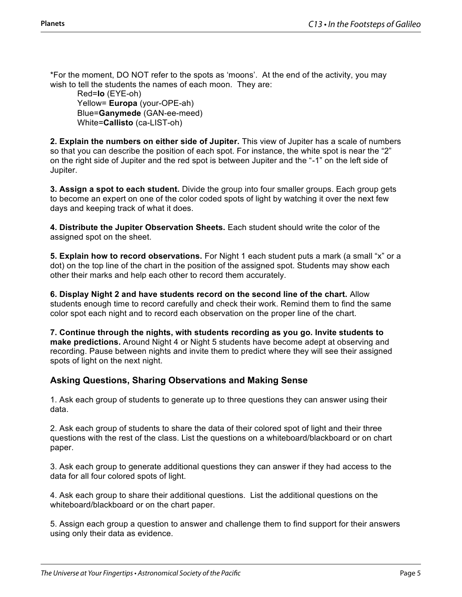\*For the moment, DO NOT refer to the spots as 'moons'. At the end of the activity, you may wish to tell the students the names of each moon. They are:

Red=**Io** (EYE-oh) Yellow= **Europa** (your-OPE-ah) Blue=**Ganymede** (GAN-ee-meed) White=**Callisto** (ca-LIST-oh)

**2. Explain the numbers on either side of Jupiter.** This view of Jupiter has a scale of numbers so that you can describe the position of each spot. For instance, the white spot is near the "2" on the right side of Jupiter and the red spot is between Jupiter and the "-1" on the left side of Jupiter.

**3. Assign a spot to each student.** Divide the group into four smaller groups. Each group gets to become an expert on one of the color coded spots of light by watching it over the next few days and keeping track of what it does.

**4. Distribute the Jupiter Observation Sheets.** Each student should write the color of the assigned spot on the sheet.

**5. Explain how to record observations.** For Night 1 each student puts a mark (a small "x" or a dot) on the top line of the chart in the position of the assigned spot. Students may show each other their marks and help each other to record them accurately.

**6. Display Night 2 and have students record on the second line of the chart.** Allow students enough time to record carefully and check their work. Remind them to find the same color spot each night and to record each observation on the proper line of the chart.

**7. Continue through the nights, with students recording as you go. Invite students to make predictions.** Around Night 4 or Night 5 students have become adept at observing and recording. Pause between nights and invite them to predict where they will see their assigned spots of light on the next night.

### **Asking Questions, Sharing Observations and Making Sense**

1. Ask each group of students to generate up to three questions they can answer using their data.

2. Ask each group of students to share the data of their colored spot of light and their three questions with the rest of the class. List the questions on a whiteboard/blackboard or on chart paper.

3. Ask each group to generate additional questions they can answer if they had access to the data for all four colored spots of light.

4. Ask each group to share their additional questions. List the additional questions on the whiteboard/blackboard or on the chart paper.

5. Assign each group a question to answer and challenge them to find support for their answers using only their data as evidence.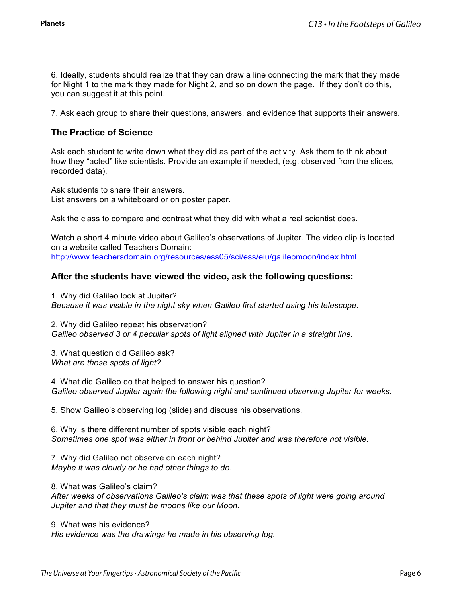6. Ideally, students should realize that they can draw a line connecting the mark that they made for Night 1 to the mark they made for Night 2, and so on down the page. If they don't do this, you can suggest it at this point.

7. Ask each group to share their questions, answers, and evidence that supports their answers.

### **The Practice of Science**

Ask each student to write down what they did as part of the activity. Ask them to think about how they "acted" like scientists. Provide an example if needed, (e.g. observed from the slides, recorded data).

Ask students to share their answers. List answers on a whiteboard or on poster paper.

Ask the class to compare and contrast what they did with what a real scientist does.

Watch a short 4 minute video about Galileo's observations of Jupiter. The video clip is located on a website called Teachers Domain: http://www.teachersdomain.org/resources/ess05/sci/ess/eiu/galileomoon/index.html

### **After the students have viewed the video, ask the following questions:**

1. Why did Galileo look at Jupiter? *Because it was visible in the night sky when Galileo first started using his telescope.*

2. Why did Galileo repeat his observation? *Galileo observed 3 or 4 peculiar spots of light aligned with Jupiter in a straight line.*

3. What question did Galileo ask? *What are those spots of light?*

4. What did Galileo do that helped to answer his question? *Galileo observed Jupiter again the following night and continued observing Jupiter for weeks.*

5. Show Galileo's observing log (slide) and discuss his observations.

6. Why is there different number of spots visible each night? *Sometimes one spot was either in front or behind Jupiter and was therefore not visible.*

7. Why did Galileo not observe on each night? *Maybe it was cloudy or he had other things to do.*

8. What was Galileo's claim?

*After weeks of observations Galileo's claim was that these spots of light were going around Jupiter and that they must be moons like our Moon.*

9. What was his evidence? *His evidence was the drawings he made in his observing log.*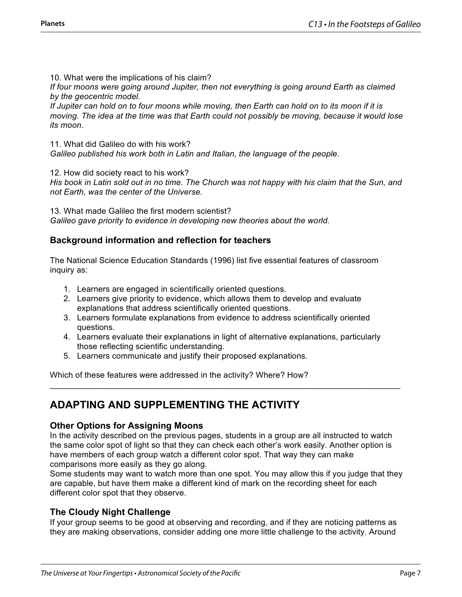10. What were the implications of his claim?

*If four moons were going around Jupiter, then not everything is going around Earth as claimed by the geocentric model.*

*If Jupiter can hold on to four moons while moving, then Earth can hold on to its moon if it is moving. The idea at the time was that Earth could not possibly be moving, because it would lose its moon.*

11. What did Galileo do with his work? *Galileo published his work both in Latin and Italian, the language of the people.*

12. How did society react to his work?

*His book in Latin sold out in no time. The Church was not happy with his claim that the Sun, and not Earth, was the center of the Universe.*

13. What made Galileo the first modern scientist? *Galileo gave priority to evidence in developing new theories about the world.*

### **Background information and reflection for teachers**

The National Science Education Standards (1996) list five essential features of classroom inquiry as:

- 1. Learners are engaged in scientifically oriented questions.
- 2. Learners give priority to evidence, which allows them to develop and evaluate explanations that address scientifically oriented questions.
- 3. Learners formulate explanations from evidence to address scientifically oriented questions.
- 4. Learners evaluate their explanations in light of alternative explanations, particularly those reflecting scientific understanding.

\_\_\_\_\_\_\_\_\_\_\_\_\_\_\_\_\_\_\_\_\_\_\_\_\_\_\_\_\_\_\_\_\_\_\_\_\_\_\_\_\_\_\_\_\_\_\_\_\_\_\_\_\_\_\_\_\_\_\_\_\_\_\_\_\_\_\_\_\_\_\_\_\_\_\_\_

5. Learners communicate and justify their proposed explanations.

Which of these features were addressed in the activity? Where? How?

### **ADAPTING AND SUPPLEMENTING THE ACTIVITY**

### **Other Options for Assigning Moons**

In the activity described on the previous pages, students in a group are all instructed to watch the same color spot of light so that they can check each other's work easily. Another option is have members of each group watch a different color spot. That way they can make comparisons more easily as they go along.

Some students may want to watch more than one spot. You may allow this if you judge that they are capable, but have them make a different kind of mark on the recording sheet for each different color spot that they observe.

### **The Cloudy Night Challenge**

If your group seems to be good at observing and recording, and if they are noticing patterns as they are making observations, consider adding one more little challenge to the activity. Around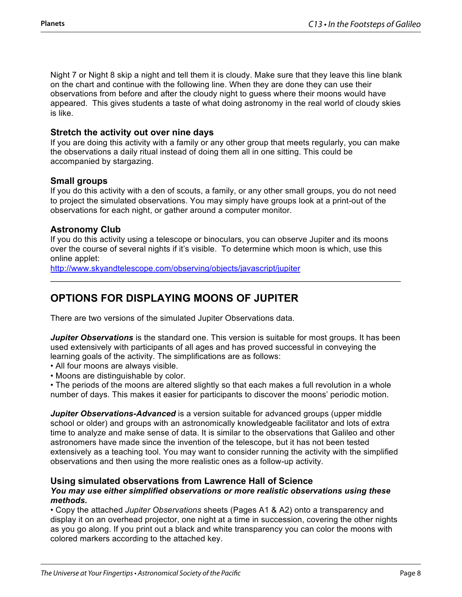Night 7 or Night 8 skip a night and tell them it is cloudy. Make sure that they leave this line blank on the chart and continue with the following line. When they are done they can use their observations from before and after the cloudy night to guess where their moons would have appeared. This gives students a taste of what doing astronomy in the real world of cloudy skies is like.

### **Stretch the activity out over nine days**

If you are doing this activity with a family or any other group that meets regularly, you can make the observations a daily ritual instead of doing them all in one sitting. This could be accompanied by stargazing.

### **Small groups**

If you do this activity with a den of scouts, a family, or any other small groups, you do not need to project the simulated observations. You may simply have groups look at a print-out of the observations for each night, or gather around a computer monitor.

### **Astronomy Club**

If you do this activity using a telescope or binoculars, you can observe Jupiter and its moons over the course of several nights if it's visible. To determine which moon is which, use this online applet:

\_\_\_\_\_\_\_\_\_\_\_\_\_\_\_\_\_\_\_\_\_\_\_\_\_\_\_\_\_\_\_\_\_\_\_\_\_\_\_\_\_\_\_\_\_\_\_\_\_\_\_\_\_\_\_\_\_\_\_\_\_\_\_\_\_\_\_\_\_\_\_\_\_\_\_\_

http://www.skyandtelescope.com/observing/objects/javascript/jupiter

### **OPTIONS FOR DISPLAYING MOONS OF JUPITER**

There are two versions of the simulated Jupiter Observations data.

*Jupiter Observations* is the standard one. This version is suitable for most groups. It has been used extensively with participants of all ages and has proved successful in conveying the learning goals of the activity. The simplifications are as follows:

- All four moons are always visible.
- Moons are distinguishable by color.

• The periods of the moons are altered slightly so that each makes a full revolution in a whole number of days. This makes it easier for participants to discover the moons' periodic motion.

*Jupiter Observations-Advanced* is a version suitable for advanced groups (upper middle school or older) and groups with an astronomically knowledgeable facilitator and lots of extra time to analyze and make sense of data. It is similar to the observations that Galileo and other astronomers have made since the invention of the telescope, but it has not been tested extensively as a teaching tool. You may want to consider running the activity with the simplified observations and then using the more realistic ones as a follow-up activity.

### **Using simulated observations from Lawrence Hall of Science**

#### *You may use either simplified observations or more realistic observations using these methods.*

• Copy the attached *Jupiter Observations* sheets (Pages A1 & A2) onto a transparency and display it on an overhead projector, one night at a time in succession, covering the other nights as you go along. If you print out a black and white transparency you can color the moons with colored markers according to the attached key.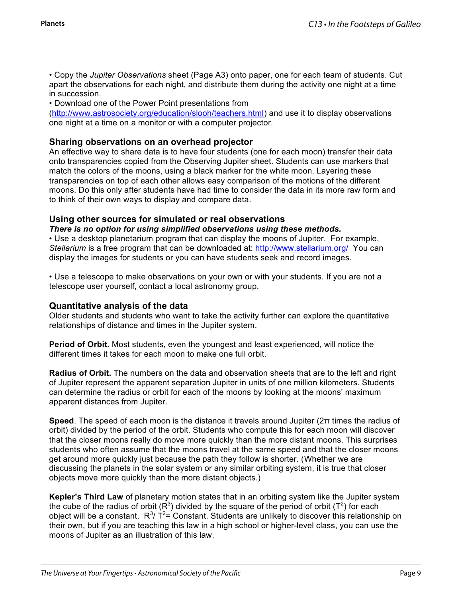• Copy the *Jupiter Observations* sheet (Page A3) onto paper, one for each team of students. Cut apart the observations for each night, and distribute them during the activity one night at a time in succession.

• Download one of the Power Point presentations from

(http://www.astrosociety.org/education/slooh/teachers.html) and use it to display observations one night at a time on a monitor or with a computer projector.

#### **Sharing observations on an overhead projector**

An effective way to share data is to have four students (one for each moon) transfer their data onto transparencies copied from the Observing Jupiter sheet. Students can use markers that match the colors of the moons, using a black marker for the white moon. Layering these transparencies on top of each other allows easy comparison of the motions of the different moons. Do this only after students have had time to consider the data in its more raw form and to think of their own ways to display and compare data.

#### **Using other sources for simulated or real observations**

*There is no option for using simplified observations using these methods.*

• Use a desktop planetarium program that can display the moons of Jupiter. For example, *Stellarium* is a free program that can be downloaded at: http://www.stellarium.org/ You can display the images for students or you can have students seek and record images.

• Use a telescope to make observations on your own or with your students. If you are not a telescope user yourself, contact a local astronomy group.

#### **Quantitative analysis of the data**

Older students and students who want to take the activity further can explore the quantitative relationships of distance and times in the Jupiter system.

**Period of Orbit.** Most students, even the youngest and least experienced, will notice the different times it takes for each moon to make one full orbit.

**Radius of Orbit.** The numbers on the data and observation sheets that are to the left and right of Jupiter represent the apparent separation Jupiter in units of one million kilometers. Students can determine the radius or orbit for each of the moons by looking at the moons' maximum apparent distances from Jupiter.

**Speed**. The speed of each moon is the distance it travels around Jupiter (2π times the radius of orbit) divided by the period of the orbit. Students who compute this for each moon will discover that the closer moons really do move more quickly than the more distant moons. This surprises students who often assume that the moons travel at the same speed and that the closer moons get around more quickly just because the path they follow is shorter. (Whether we are discussing the planets in the solar system or any similar orbiting system, it is true that closer objects move more quickly than the more distant objects.)

**Kepler's Third Law** of planetary motion states that in an orbiting system like the Jupiter system the cube of the radius of orbit ( $R^3$ ) divided by the square of the period of orbit ( $T^2$ ) for each object will be a constant.  $R^3$ / T<sup>2</sup>= Constant. Students are unlikely to discover this relationship on their own, but if you are teaching this law in a high school or higher-level class, you can use the moons of Jupiter as an illustration of this law.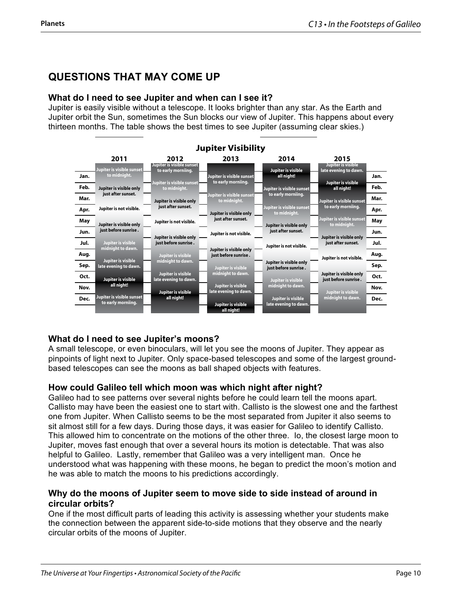### **QUESTIONS THAT MAY COME UP**

### **What do I need to see Jupiter and when can I see it?**

Jupiter is easily visible without a telescope. It looks brighter than any star. As the Earth and Jupiter orbit the Sun, sometimes the Sun blocks our view of Jupiter. This happens about every thirteen months. The table shows the best times to see Jupiter (assuming clear skies.)



### **What do I need to see Jupiter's moons?**

A small telescope, or even binoculars, will let you see the moons of Jupiter. They appear as pinpoints of light next to Jupiter. Only space-based telescopes and some of the largest groundbased telescopes can see the moons as ball shaped objects with features.

### **How could Galileo tell which moon was which night after night?**

Galileo had to see patterns over several nights before he could learn tell the moons apart. Callisto may have been the easiest one to start with. Callisto is the slowest one and the farthest one from Jupiter. When Callisto seems to be the most separated from Jupiter it also seems to sit almost still for a few days. During those days, it was easier for Galileo to identify Callisto. This allowed him to concentrate on the motions of the other three. Io, the closest large moon to Jupiter, moves fast enough that over a several hours its motion is detectable. That was also helpful to Galileo. Lastly, remember that Galileo was a very intelligent man. Once he understood what was happening with these moons, he began to predict the moon's motion and he was able to match the moons to his predictions accordingly.

### **Why do the moons of Jupiter seem to move side to side instead of around in circular orbits?**

One if the most difficult parts of leading this activity is assessing whether your students make the connection between the apparent side-to-side motions that they observe and the nearly circular orbits of the moons of Jupiter.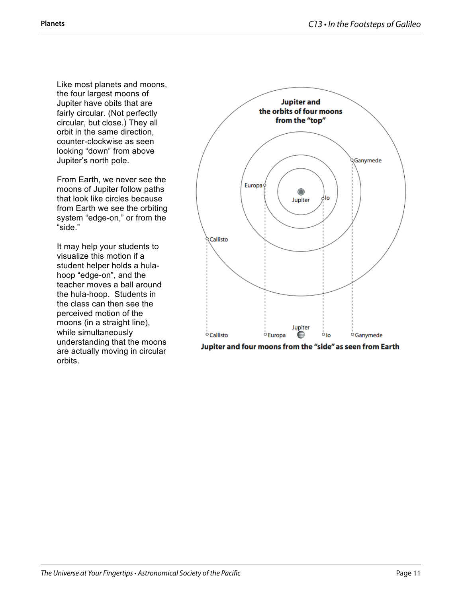Like most planets and moons, the four largest moons of Jupiter have obits that are fairly circular. (Not perfectly circular, but close.) They all orbit in the same direction, counter-clockwise as seen looking "down" from above Jupiter's north pole.

From Earth, we never see the moons of Jupiter follow paths that look like circles because from Earth we see the orbiting system "edge-on," or from the "side."

It may help your students to visualize this motion if a student helper holds a hulahoop "edge-on", and the teacher moves a ball around the hula-hoop. Students in the class can then see the perceived motion of the moons (in a straight line), while simultaneously understanding that the moons are actually moving in circular orbits.



Jupiter and four moons from the "side" as seen from Earth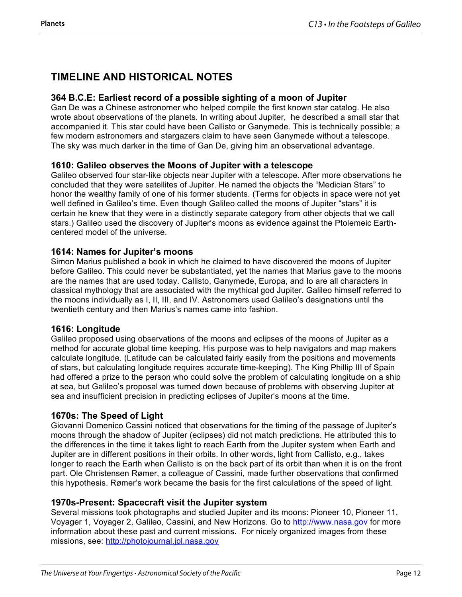### **TIMELINE AND HISTORICAL NOTES**

### **364 B.C.E: Earliest record of a possible sighting of a moon of Jupiter**

Gan De was a Chinese astronomer who helped compile the first known star catalog. He also wrote about observations of the planets. In writing about Jupiter, he described a small star that accompanied it. This star could have been Callisto or Ganymede. This is technically possible; a few modern astronomers and stargazers claim to have seen Ganymede without a telescope. The sky was much darker in the time of Gan De, giving him an observational advantage.

### **1610: Galileo observes the Moons of Jupiter with a telescope**

Galileo observed four star-like objects near Jupiter with a telescope. After more observations he concluded that they were satellites of Jupiter. He named the objects the "Medician Stars" to honor the wealthy family of one of his former students. (Terms for objects in space were not yet well defined in Galileo's time. Even though Galileo called the moons of Jupiter "stars" it is certain he knew that they were in a distinctly separate category from other objects that we call stars.) Galileo used the discovery of Jupiter's moons as evidence against the Ptolemeic Earthcentered model of the universe.

### **1614: Names for Jupiter's moons**

Simon Marius published a book in which he claimed to have discovered the moons of Jupiter before Galileo. This could never be substantiated, yet the names that Marius gave to the moons are the names that are used today. Callisto, Ganymede, Europa, and Io are all characters in classical mythology that are associated with the mythical god Jupiter. Galileo himself referred to the moons individually as I, II, III, and IV. Astronomers used Galileo's designations until the twentieth century and then Marius's names came into fashion.

### **1616: Longitude**

Galileo proposed using observations of the moons and eclipses of the moons of Jupiter as a method for accurate global time keeping. His purpose was to help navigators and map makers calculate longitude. (Latitude can be calculated fairly easily from the positions and movements of stars, but calculating longitude requires accurate time-keeping). The King Phillip III of Spain had offered a prize to the person who could solve the problem of calculating longitude on a ship at sea, but Galileo's proposal was turned down because of problems with observing Jupiter at sea and insufficient precision in predicting eclipses of Jupiter's moons at the time.

### **1670s: The Speed of Light**

Giovanni Domenico Cassini noticed that observations for the timing of the passage of Jupiter's moons through the shadow of Jupiter (eclipses) did not match predictions. He attributed this to the differences in the time it takes light to reach Earth from the Jupiter system when Earth and Jupiter are in different positions in their orbits. In other words, light from Callisto, e.g., takes longer to reach the Earth when Callisto is on the back part of its orbit than when it is on the front part. Ole Christensen Rømer, a colleague of Cassini, made further observations that confirmed this hypothesis. Rømer's work became the basis for the first calculations of the speed of light.

### **1970s-Present: Spacecraft visit the Jupiter system**

Several missions took photographs and studied Jupiter and its moons: Pioneer 10, Pioneer 11, Voyager 1, Voyager 2, Galileo, Cassini, and New Horizons. Go to http://www.nasa.gov for more information about these past and current missions. For nicely organized images from these missions, see: http://photojournal.jpl.nasa.gov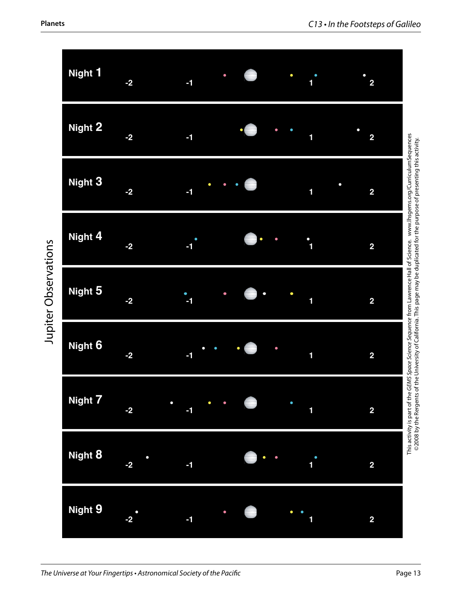

Jupiter Observations Jupiter Observations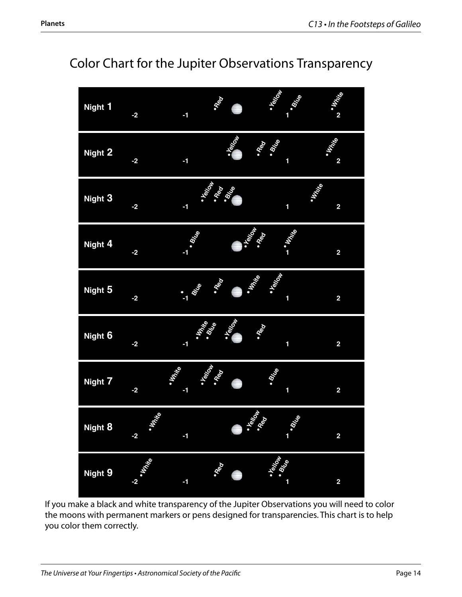

## Color Chart for the Jupiter Observations Transparency

If you make a black and white transparency of the Jupiter Observations you will need to color the moons with permanent markers or pens designed for transparencies. This chart is to help you color them correctly.